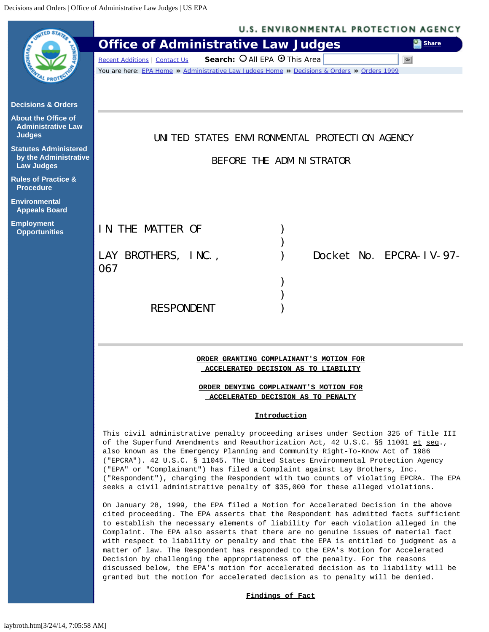<span id="page-0-0"></span>

| <b>ITED STAR</b>                                   | U.S. ENVIRONMENTAL PROTECTION AGENCY                                                                                                                                      |
|----------------------------------------------------|---------------------------------------------------------------------------------------------------------------------------------------------------------------------------|
|                                                    | <b>Office of Administrative Law Judges</b><br>Share                                                                                                                       |
|                                                    | Search: O All EPA O This Area<br><b>Recent Additions   Contact Us</b><br>Go                                                                                               |
|                                                    | You are here: EPA Home » Administrative Law Judges Home » Decisions & Orders » Orders 1999                                                                                |
|                                                    |                                                                                                                                                                           |
| <b>Decisions &amp; Orders</b>                      |                                                                                                                                                                           |
| <b>About the Office of</b>                         |                                                                                                                                                                           |
| <b>Administrative Law</b><br><b>Judges</b>         |                                                                                                                                                                           |
| <b>Statutes Administered</b>                       | UNITED STATES ENVIRONMENTAL PROTECTION AGENCY                                                                                                                             |
| by the Administrative                              | BEFORE THE ADMINISTRATOR                                                                                                                                                  |
| <b>Law Judges</b>                                  |                                                                                                                                                                           |
| <b>Rules of Practice &amp;</b><br><b>Procedure</b> |                                                                                                                                                                           |
| <b>Environmental</b>                               |                                                                                                                                                                           |
| <b>Appeals Board</b>                               |                                                                                                                                                                           |
| <b>Employment</b><br><b>Opportunities</b>          | IN THE MATTER OF                                                                                                                                                          |
|                                                    |                                                                                                                                                                           |
|                                                    | LAY BROTHERS, INC.,<br>Docket No. EPCRA-IV-97-                                                                                                                            |
|                                                    | 067                                                                                                                                                                       |
|                                                    |                                                                                                                                                                           |
|                                                    |                                                                                                                                                                           |
|                                                    | <b>RESPONDENT</b>                                                                                                                                                         |
|                                                    |                                                                                                                                                                           |
|                                                    |                                                                                                                                                                           |
|                                                    |                                                                                                                                                                           |
|                                                    | ORDER GRANTING COMPLAINANT'S MOTION FOR<br>ACCELERATED DECISION AS TO LIABILITY                                                                                           |
|                                                    |                                                                                                                                                                           |
|                                                    | ORDER DENYING COMPLAINANT'S MOTION FOR<br>ACCELERATED DECISION AS TO PENALTY                                                                                              |
|                                                    |                                                                                                                                                                           |
|                                                    | <b>Introduction</b>                                                                                                                                                       |
|                                                    | This civil administrative penalty proceeding arises under Section 325 of Title III<br>of the Superfund Amendments and Reauthorization Act, 42 U.S.C. §§ 11001 et seq.,    |
|                                                    | also known as the Emergency Planning and Community Right-To-Know Act of 1986                                                                                              |
|                                                    | ("EPCRA"). 42 U.S.C. § 11045. The United States Environmental Protection Agency<br>("EPA" or "Complainant") has filed a Complaint against Lay Brothers, Inc.              |
|                                                    | ("Respondent"), charging the Respondent with two counts of violating EPCRA. The EPA                                                                                       |
|                                                    | seeks a civil administrative penalty of \$35,000 for these alleged violations.                                                                                            |
|                                                    | On January 28, 1999, the EPA filed a Motion for Accelerated Decision in the above                                                                                         |
|                                                    | cited proceeding. The EPA asserts that the Respondent has admitted facts sufficient<br>to establish the necessary elements of liability for each violation alleged in the |
|                                                    | Complaint. The EPA also asserts that there are no genuine issues of material fact                                                                                         |
|                                                    | with respect to liability or penalty and that the EPA is entitled to judgment as a<br>matter of law. The Respondent has responded to the EPA's Motion for Accelerated     |
|                                                    | Decision by challenging the appropriateness of the penalty. For the reasons                                                                                               |
|                                                    | discussed below, the EPA's motion for accelerated decision as to liability will be<br>granted but the motion for accelerated decision as to penalty will be denied.       |
|                                                    | Findings of Fact                                                                                                                                                          |
|                                                    |                                                                                                                                                                           |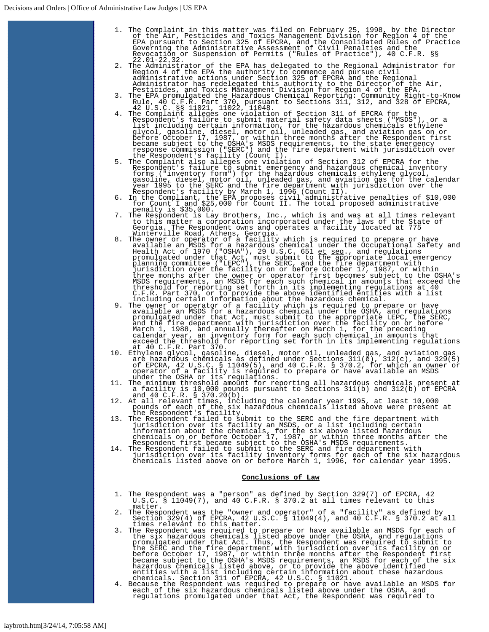- 1. The Complaint in this matter was filed on February 25, 1998, by the Director<br>of the Air, Pesticides and Toxics Management Division for Region 4 of the<br>EPA pursuant to Section 325 of EPCRA, and the Consolidated Rules of Revocation or Suspension of Permits ("Rules of Practice"), 40 C.F.R. §§ 22.01-22.32.
- 2. The Administrator of the EPA has delegated to the Regional Administrator for Region 4 of the EPA the authority to commence and pursue civil administrative actions under Section 325 of EPCRA and the Regional
- 
- Administrator has redelegated this authority to the Director of the RPA.<br>Pesticides, and Toxics Management Division for Region 4 of the EPA.<br>3. The EPA Promulgated the Hazardous Chemical Reporting: Community Right-to-Know<br>
- 
- 
- to this matter a corporation incorporated under the laws of the State of Georgia. The Respondent owns and operates a facility located at 775
- Winterville Road, Athens, Georgia.<br>8. The owner or operator of a facility which is required to prepare or have<br>available an MSDS for a hazardous chemical under the Occupational Safety and<br>Health Act of 1970 ("OSHA"), 29 U.
- MSDS requirements, an MSDS for each such chemical in amounts that exceed the<br>threshold for reporting set forth in its implementing regulations at 40<br>C.F.R. Part 370, or to provide the above identified entities with a list<br> at 40 C.F.R. Part 370.
- 10. Ethylene glycol, gasoline, diesel, motor oil, unleaded gas, and aviation gas are hazardous chemicals as defined under Sections 311(e), 312(c), and 329(5) of EPCRA, 42 U.S.C. § 11049(5), and 40 C.F.R. § 370.2, for which
- 
- 11. The minimum threshold amount for reporting all hazardous chemicals present at<br>a facility is 10,000 pounds pursuant to Sections 311(b) and 312(b) of EPCRA<br>and 40 C.F.R. § 370.20(b).<br>12. At all relevant times, including
- jurisdiction over its facility an MSDS, or a list including certain<br>information about the chemicals, for the six above listed hazardous<br>chemicals on or before October 17, 1987, or within three months after the<br>Respondent f
- 

## **Conclusions of Law**

- 1. The Respondent was a "person" as defined by Section 329(7) of EPCRA, 42 U.S.C. § 11049(7), and 40 C.F.R. § 370.2 at all times relevant to this
- matter. 2. The Respondent was the "owner and operator" of a "facility" as defined by Section 329(4) of EPCRA, 42 U.S.C. § 11049(4), and 40 C.F.R. § 370.2 at all
- 3. The Respondent was required to prepare or have available an MSDS for each of<br>the six hazardous chemicals listed above under the OSHA, and regulations<br>promulgated under that Act. Thus, the Respondent was required to subm
-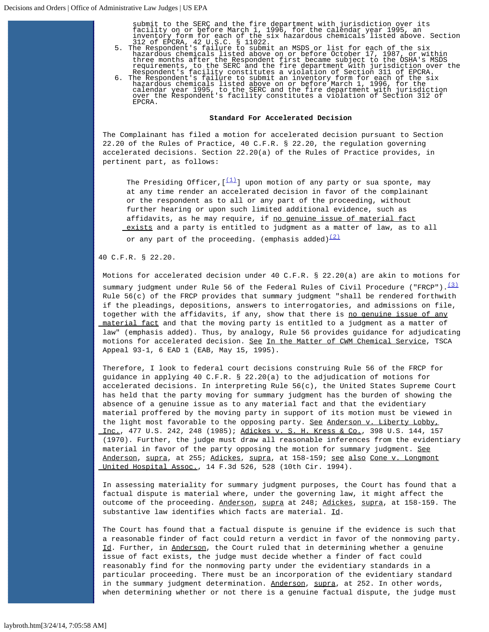submit to the SERC and the fire department with jurisdiction over its facility on or before March 1, 1996, for the calendar year 1995, an

- 
- inventory form for each of the six hazardous chemicals listed above. Section<br>3.2 of EPCRA, 42 U.S.C. § 11022.<br>The Respondent's failure to submit an MSDS or list for each of the six<br>hazardous chemicals listed above on or be EPCRA.

#### **Standard For Accelerated Decision**

The Complainant has filed a motion for accelerated decision pursuant to Section 22.20 of the Rules of Practice, 40 C.F.R. § 22.20, the regulation governing accelerated decisions. Section 22.20(a) of the Rules of Practice provides, in pertinent part, as follows:

The Presiding Officer,  $[\frac{(1)}{2}]$  $[\frac{(1)}{2}]$  $[\frac{(1)}{2}]$  upon motion of any party or sua sponte, may at any time render an accelerated decision in favor of the complainant or the respondent as to all or any part of the proceeding, without further hearing or upon such limited additional evidence, such as affidavits, as he may require, if no genuine issue of material fact exists and a party is entitled to judgment as a matter of law, as to all

or any part of the proceeding. (emphasis added) $\frac{(2)}{(2)}$  $\frac{(2)}{(2)}$  $\frac{(2)}{(2)}$ 

### 40 C.F.R. § 22.20.

Motions for accelerated decision under 40 C.F.R. § 22.20(a) are akin to motions for summary judgment under Rule 56 of the Federal Rules of Civil Procedure ("FRCP").  $\frac{(3)}{2}$  $\frac{(3)}{2}$  $\frac{(3)}{2}$ Rule  $56(c)$  of the FRCP provides that summary judgment "shall be rendered forthwith if the pleadings, depositions, answers to interrogatories, and admissions on file, together with the affidavits, if any, show that there is no genuine issue of any material fact and that the moving party is entitled to a judgment as a matter of law" (emphasis added). Thus, by analogy, Rule 56 provides guidance for adjudicating motions for accelerated decision. See In the Matter of CWM Chemical Service, TSCA Appeal 93-1, 6 EAD 1 (EAB, May 15, 1995).

Therefore, I look to federal court decisions construing Rule 56 of the FRCP for guidance in applying 40 C.F.R. § 22.20(a) to the adjudication of motions for accelerated decisions. In interpreting Rule 56(c), the United States Supreme Court has held that the party moving for summary judgment has the burden of showing the absence of a genuine issue as to any material fact and that the evidentiary material proffered by the moving party in support of its motion must be viewed in the light most favorable to the opposing party. See Anderson v. Liberty Lobby, Inc., 477 U.S. 242, 248 (1985); Adickes v. S. H. Kress & Co., 398 U.S. 144, 157 (1970). Further, the judge must draw all reasonable inferences from the evidentiary material in favor of the party opposing the motion for summary judgment. See Anderson, supra, at 255; Adickes, supra, at 158-159; see also Cone v. Longmont United Hospital Assoc., 14 F.3d 526, 528 (10th Cir. 1994).

In assessing materiality for summary judgment purposes, the Court has found that a factual dispute is material where, under the governing law, it might affect the outcome of the proceeding. Anderson, supra at 248; Adickes, supra, at 158-159. The substantive law identifies which facts are material. Id.

The Court has found that a factual dispute is genuine if the evidence is such that a reasonable finder of fact could return a verdict in favor of the nonmoving party. Id. Further, in Anderson, the Court ruled that in determining whether a genuine issue of fact exists, the judge must decide whether a finder of fact could reasonably find for the nonmoving party under the evidentiary standards in a particular proceeding. There must be an incorporation of the evidentiary standard in the summary judgment determination. Anderson, supra, at 252. In other words, when determining whether or not there is a genuine factual dispute, the judge must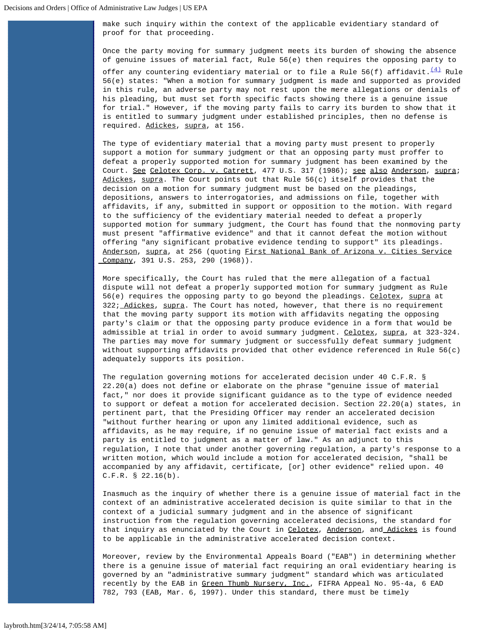make such inquiry within the context of the applicable evidentiary standard of proof for that proceeding.

Once the party moving for summary judgment meets its burden of showing the absence of genuine issues of material fact, Rule 56(e) then requires the opposing party to offer any countering evidentiary material or to file a Rule 56(f) affidavit.  $\frac{(4)}{4}$  $\frac{(4)}{4}$  $\frac{(4)}{4}$  Rule 56(e) states: "When a motion for summary judgment is made and supported as provided in this rule, an adverse party may not rest upon the mere allegations or denials of his pleading, but must set forth specific facts showing there is a genuine issue for trial." However, if the moving party fails to carry its burden to show that it is entitled to summary judgment under established principles, then no defense is required. Adickes, supra, at 156.

The type of evidentiary material that a moving party must present to properly support a motion for summary judgment or that an opposing party must proffer to defeat a properly supported motion for summary judgment has been examined by the Court. See Celotex Corp. v. Catrett, 477 U.S. 317 (1986); see also Anderson, supra; Adickes, supra. The Court points out that Rule 56(c) itself provides that the decision on a motion for summary judgment must be based on the pleadings, depositions, answers to interrogatories, and admissions on file, together with affidavits, if any, submitted in support or opposition to the motion. With regard to the sufficiency of the evidentiary material needed to defeat a properly supported motion for summary judgment, the Court has found that the nonmoving party must present "affirmative evidence" and that it cannot defeat the motion without offering "any significant probative evidence tending to support" its pleadings. Anderson, supra, at 256 (quoting First National Bank of Arizona v. Cities Service Company, 391 U.S. 253, 290 (1968)).

More specifically, the Court has ruled that the mere allegation of a factual dispute will not defeat a properly supported motion for summary judgment as Rule 56(e) requires the opposing party to go beyond the pleadings. Celotex, supra at 322; Adickes, supra. The Court has noted, however, that there is no requirement that the moving party support its motion with affidavits negating the opposing party's claim or that the opposing party produce evidence in a form that would be admissible at trial in order to avoid summary judgment. Celotex, supra, at 323-324. The parties may move for summary judgment or successfully defeat summary judgment without supporting affidavits provided that other evidence referenced in Rule 56(c) adequately supports its position.

The regulation governing motions for accelerated decision under 40 C.F.R. § 22.20(a) does not define or elaborate on the phrase "genuine issue of material fact," nor does it provide significant guidance as to the type of evidence needed to support or defeat a motion for accelerated decision. Section 22.20(a) states, in pertinent part, that the Presiding Officer may render an accelerated decision "without further hearing or upon any limited additional evidence, such as affidavits, as he may require, if no genuine issue of material fact exists and a party is entitled to judgment as a matter of law." As an adjunct to this regulation, I note that under another governing regulation, a party's response to a written motion, which would include a motion for accelerated decision, "shall be accompanied by any affidavit, certificate, [or] other evidence" relied upon. 40 C.F.R. § 22.16(b).

Inasmuch as the inquiry of whether there is a genuine issue of material fact in the context of an administrative accelerated decision is quite similar to that in the context of a judicial summary judgment and in the absence of significant instruction from the regulation governing accelerated decisions, the standard for that inquiry as enunciated by the Court in Celotex, Anderson, and Adickes is found to be applicable in the administrative accelerated decision context.

Moreover, review by the Environmental Appeals Board ("EAB") in determining whether there is a genuine issue of material fact requiring an oral evidentiary hearing is governed by an "administrative summary judgment" standard which was articulated recently by the EAB in Green Thumb Nursery, Inc., FIFRA Appeal No. 95-4a, 6 EAD 782, 793 (EAB, Mar. 6, 1997). Under this standard, there must be timely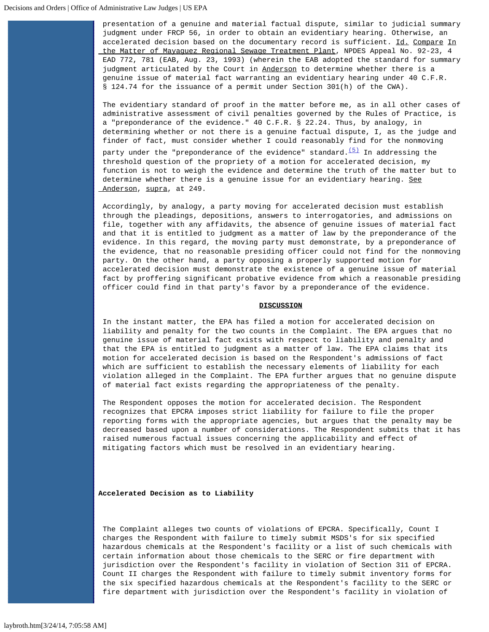presentation of a genuine and material factual dispute, similar to judicial summary judgment under FRCP 56, in order to obtain an evidentiary hearing. Otherwise, an accelerated decision based on the documentary record is sufficient. Id. Compare In the Matter of Mayaguez Regional Sewage Treatment Plant, NPDES Appeal No. 92-23, 4 EAD 772, 781 (EAB, Aug. 23, 1993) (wherein the EAB adopted the standard for summary judgment articulated by the Court in Anderson to determine whether there is a genuine issue of material fact warranting an evidentiary hearing under 40 C.F.R. § 124.74 for the issuance of a permit under Section 301(h) of the CWA).

The evidentiary standard of proof in the matter before me, as in all other cases of administrative assessment of civil penalties governed by the Rules of Practice, is a "preponderance of the evidence." 40 C.F.R. § 22.24. Thus, by analogy, in determining whether or not there is a genuine factual dispute, I, as the judge and finder of fact, must consider whether I could reasonably find for the nonmoving

party under the "preponderance of the evidence" standard. $(5)$  In addressing the threshold question of the propriety of a motion for accelerated decision, my function is not to weigh the evidence and determine the truth of the matter but to determine whether there is a genuine issue for an evidentiary hearing. See Anderson, supra, at 249.

Accordingly, by analogy, a party moving for accelerated decision must establish through the pleadings, depositions, answers to interrogatories, and admissions on file, together with any affidavits, the absence of genuine issues of material fact and that it is entitled to judgment as a matter of law by the preponderance of the evidence. In this regard, the moving party must demonstrate, by a preponderance of the evidence, that no reasonable presiding officer could not find for the nonmoving party. On the other hand, a party opposing a properly supported motion for accelerated decision must demonstrate the existence of a genuine issue of material fact by proffering significant probative evidence from which a reasonable presiding officer could find in that party's favor by a preponderance of the evidence.

### **DISCUSSION**

In the instant matter, the EPA has filed a motion for accelerated decision on liability and penalty for the two counts in the Complaint. The EPA argues that no genuine issue of material fact exists with respect to liability and penalty and that the EPA is entitled to judgment as a matter of law. The EPA claims that its motion for accelerated decision is based on the Respondent's admissions of fact which are sufficient to establish the necessary elements of liability for each violation alleged in the Complaint. The EPA further argues that no genuine dispute of material fact exists regarding the appropriateness of the penalty.

The Respondent opposes the motion for accelerated decision. The Respondent recognizes that EPCRA imposes strict liability for failure to file the proper reporting forms with the appropriate agencies, but argues that the penalty may be decreased based upon a number of considerations. The Respondent submits that it has raised numerous factual issues concerning the applicability and effect of mitigating factors which must be resolved in an evidentiary hearing.

### **Accelerated Decision as to Liability**

The Complaint alleges two counts of violations of EPCRA. Specifically, Count I charges the Respondent with failure to timely submit MSDS's for six specified hazardous chemicals at the Respondent's facility or a list of such chemicals with certain information about those chemicals to the SERC or fire department with jurisdiction over the Respondent's facility in violation of Section 311 of EPCRA. Count II charges the Respondent with failure to timely submit inventory forms for the six specified hazardous chemicals at the Respondent's facility to the SERC or fire department with jurisdiction over the Respondent's facility in violation of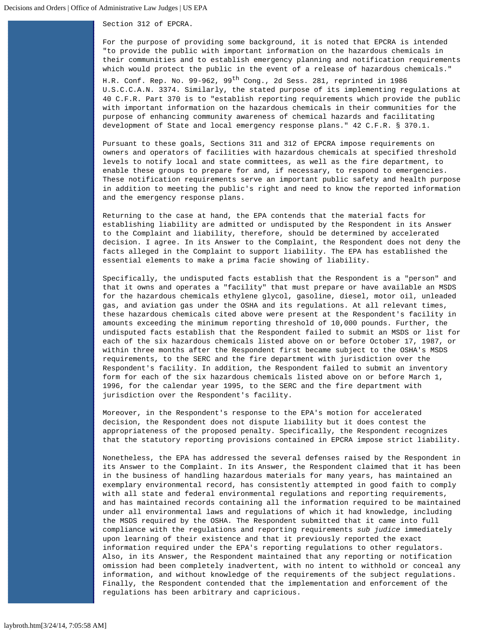Section 312 of EPCRA.

For the purpose of providing some background, it is noted that EPCRA is intended "to provide the public with important information on the hazardous chemicals in their communities and to establish emergency planning and notification requirements which would protect the public in the event of a release of hazardous chemicals." H.R. Conf. Rep. No. 99-962, 99<sup>th</sup> Cong., 2d Sess. 281, reprinted in 1986 U.S.C.C.A.N. 3374. Similarly, the stated purpose of its implementing regulations at 40 C.F.R. Part 370 is to "establish reporting requirements which provide the public with important information on the hazardous chemicals in their communities for the purpose of enhancing community awareness of chemical hazards and facilitating development of State and local emergency response plans." 42 C.F.R. § 370.1.

Pursuant to these goals, Sections 311 and 312 of EPCRA impose requirements on owners and operators of facilities with hazardous chemicals at specified threshold levels to notify local and state committees, as well as the fire department, to enable these groups to prepare for and, if necessary, to respond to emergencies. These notification requirements serve an important public safety and health purpose in addition to meeting the public's right and need to know the reported information and the emergency response plans.

Returning to the case at hand, the EPA contends that the material facts for establishing liability are admitted or undisputed by the Respondent in its Answer to the Complaint and liability, therefore, should be determined by accelerated decision. I agree. In its Answer to the Complaint, the Respondent does not deny the facts alleged in the Complaint to support liability. The EPA has established the essential elements to make a prima facie showing of liability.

Specifically, the undisputed facts establish that the Respondent is a "person" and that it owns and operates a "facility" that must prepare or have available an MSDS for the hazardous chemicals ethylene glycol, gasoline, diesel, motor oil, unleaded gas, and aviation gas under the OSHA and its regulations. At all relevant times, these hazardous chemicals cited above were present at the Respondent's facility in amounts exceeding the minimum reporting threshold of 10,000 pounds. Further, the undisputed facts establish that the Respondent failed to submit an MSDS or list for each of the six hazardous chemicals listed above on or before October 17, 1987, or within three months after the Respondent first became subject to the OSHA's MSDS requirements, to the SERC and the fire department with jurisdiction over the Respondent's facility. In addition, the Respondent failed to submit an inventory form for each of the six hazardous chemicals listed above on or before March 1, 1996, for the calendar year 1995, to the SERC and the fire department with jurisdiction over the Respondent's facility.

Moreover, in the Respondent's response to the EPA's motion for accelerated decision, the Respondent does not dispute liability but it does contest the appropriateness of the proposed penalty. Specifically, the Respondent recognizes that the statutory reporting provisions contained in EPCRA impose strict liability.

Nonetheless, the EPA has addressed the several defenses raised by the Respondent in its Answer to the Complaint. In its Answer, the Respondent claimed that it has been in the business of handling hazardous materials for many years, has maintained an exemplary environmental record, has consistently attempted in good faith to comply with all state and federal environmental regulations and reporting requirements, and has maintained records containing all the information required to be maintained under all environmental laws and regulations of which it had knowledge, including the MSDS required by the OSHA. The Respondent submitted that it came into full compliance with the regulations and reporting requirements *sub judice* immediately upon learning of their existence and that it previously reported the exact information required under the EPA's reporting regulations to other regulators. Also, in its Answer, the Respondent maintained that any reporting or notification omission had been completely inadvertent, with no intent to withhold or conceal any information, and without knowledge of the requirements of the subject regulations. Finally, the Respondent contended that the implementation and enforcement of the regulations has been arbitrary and capricious.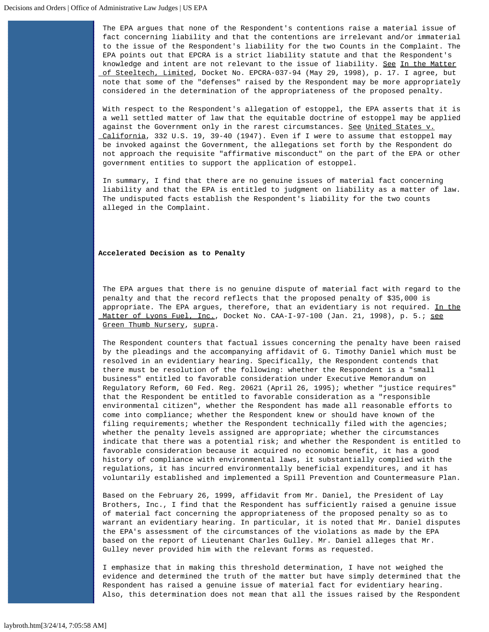The EPA argues that none of the Respondent's contentions raise a material issue of fact concerning liability and that the contentions are irrelevant and/or immaterial to the issue of the Respondent's liability for the two Counts in the Complaint. The EPA points out that EPCRA is a strict liability statute and that the Respondent's knowledge and intent are not relevant to the issue of liability. See In the Matter of Steeltech, Limited, Docket No. EPCRA-037-94 (May 29, 1998), p. 17. I agree, but note that some of the "defenses" raised by the Respondent may be more appropriately considered in the determination of the appropriateness of the proposed penalty.

With respect to the Respondent's allegation of estoppel, the EPA asserts that it is a well settled matter of law that the equitable doctrine of estoppel may be applied against the Government only in the rarest circumstances. See United States v. California, 332 U.S. 19, 39-40 (1947). Even if I were to assume that estoppel may be invoked against the Government, the allegations set forth by the Respondent do not approach the requisite "affirmative misconduct" on the part of the EPA or other government entities to support the application of estoppel.

In summary, I find that there are no genuine issues of material fact concerning liability and that the EPA is entitled to judgment on liability as a matter of law. The undisputed facts establish the Respondent's liability for the two counts alleged in the Complaint.

# **Accelerated Decision as to Penalty**

The EPA argues that there is no genuine dispute of material fact with regard to the penalty and that the record reflects that the proposed penalty of \$35,000 is appropriate. The EPA argues, therefore, that an evidentiary is not required. In the Matter of Lyons Fuel, Inc., Docket No. CAA-I-97-100 (Jan. 21, 1998), p. 5.; see Green Thumb Nursery, supra.

The Respondent counters that factual issues concerning the penalty have been raised by the pleadings and the accompanying affidavit of G. Timothy Daniel which must be resolved in an evidentiary hearing. Specifically, the Respondent contends that there must be resolution of the following: whether the Respondent is a "small business" entitled to favorable consideration under Executive Memorandum on Regulatory Reform, 60 Fed. Reg. 20621 (April 26, 1995); whether "justice requires" that the Respondent be entitled to favorable consideration as a "responsible environmental citizen", whether the Respondent has made all reasonable efforts to come into compliance; whether the Respondent knew or should have known of the filing requirements; whether the Respondent technically filed with the agencies; whether the penalty levels assigned are appropriate; whether the circumstances indicate that there was a potential risk; and whether the Respondent is entitled to favorable consideration because it acquired no economic benefit, it has a good history of compliance with environmental laws, it substantially complied with the regulations, it has incurred environmentally beneficial expenditures, and it has voluntarily established and implemented a Spill Prevention and Countermeasure Plan.

Based on the February 26, 1999, affidavit from Mr. Daniel, the President of Lay Brothers, Inc., I find that the Respondent has sufficiently raised a genuine issue of material fact concerning the appropriateness of the proposed penalty so as to warrant an evidentiary hearing. In particular, it is noted that Mr. Daniel disputes the EPA's assessment of the circumstances of the violations as made by the EPA based on the report of Lieutenant Charles Gulley. Mr. Daniel alleges that Mr. Gulley never provided him with the relevant forms as requested.

I emphasize that in making this threshold determination, I have not weighed the evidence and determined the truth of the matter but have simply determined that the Respondent has raised a genuine issue of material fact for evidentiary hearing. Also, this determination does not mean that all the issues raised by the Respondent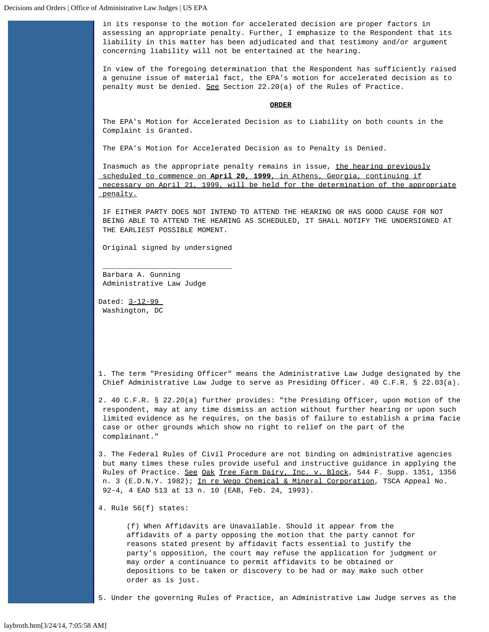in its response to the motion for accelerated decision are proper factors in assessing an appropriate penalty. Further, I emphasize to the Respondent that its liability in this matter has been adjudicated and that testimony and/or argument concerning liability will not be entertained at the hearing.

In view of the foregoing determination that the Respondent has sufficiently raised a genuine issue of material fact, the EPA's motion for accelerated decision as to penalty must be denied. See Section 22.20(a) of the Rules of Practice.

## **ORDER**

The EPA's Motion for Accelerated Decision as to Liability on both counts in the Complaint is Granted.

The EPA's Motion for Accelerated Decision as to Penalty is Denied.

Inasmuch as the appropriate penalty remains in issue, the hearing previously scheduled to commence on **April 20, 1999**, in Athens, Georgia, continuing if necessary on April 21, 1999, will be held for the determination of the appropriate penalty.

IF EITHER PARTY DOES NOT INTEND TO ATTEND THE HEARING OR HAS GOOD CAUSE FOR NOT BEING ABLE TO ATTEND THE HEARING AS SCHEDULED, IT SHALL NOTIFY THE UNDERSIGNED AT THE EARLIEST POSSIBLE MOMENT.

Original signed by undersigned

 $\frac{1}{2}$  ,  $\frac{1}{2}$  ,  $\frac{1}{2}$  ,  $\frac{1}{2}$  ,  $\frac{1}{2}$  ,  $\frac{1}{2}$  ,  $\frac{1}{2}$  ,  $\frac{1}{2}$  ,  $\frac{1}{2}$  ,  $\frac{1}{2}$  ,  $\frac{1}{2}$  ,  $\frac{1}{2}$  ,  $\frac{1}{2}$  ,  $\frac{1}{2}$  ,  $\frac{1}{2}$  ,  $\frac{1}{2}$  ,  $\frac{1}{2}$  ,  $\frac{1}{2}$  ,  $\frac{1$ 

Barbara A. Gunning Administrative Law Judge

Dated: 3-12-99 Washington, DC

<span id="page-7-0"></span>1. The term "Presiding Officer" means the Administrative Law Judge designated by the Chief Administrative Law Judge to serve as Presiding Officer. 40 C.F.R. § 22.03(a).

<span id="page-7-1"></span>2. 40 C.F.R. § 22.20(a) further provides: "the Presiding Officer, upon motion of the respondent, may at any time dismiss an action without further hearing or upon such limited evidence as he requires, on the basis of failure to establish a prima facie case or other grounds which show no right to relief on the part of the complainant."

<span id="page-7-2"></span>3. The Federal Rules of Civil Procedure are not binding on administrative agencies but many times these rules provide useful and instructive guidance in applying the Rules of Practice. See Oak Tree Farm Dairy, Inc. v. Block, 544 F. Supp. 1351, 1356 n. 3 (E.D.N.Y. 1982); In re Wego Chemical & Mineral Corporation, TSCA Appeal No. 92-4, 4 EAD 513 at 13 n. 10 (EAB, Feb. 24, 1993).

<span id="page-7-3"></span>4. Rule 56(f) states:

(f) When Affidavits are Unavailable. Should it appear from the affidavits of a party opposing the motion that the party cannot for reasons stated present by affidavit facts essential to justify the party's opposition, the court may refuse the application for judgment or may order a continuance to permit affidavits to be obtained or depositions to be taken or discovery to be had or may make such other order as is just.

<span id="page-7-4"></span>5. Under the governing Rules of Practice, an Administrative Law Judge serves as the